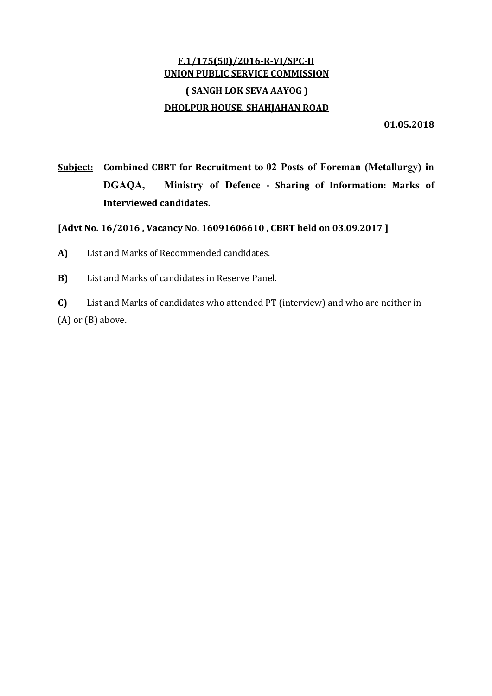# F.1/175(50)/2016‐R‐VI/SPC‐II UNION PUBLIC SERVICE COMMISSION ( SANGH LOK SEVA AAYOG ) DHOLPUR HOUSE, SHAHJAHAN ROAD

01.05.2018

Subject: Combined CBRT for Recruitment to 02 Posts of Foreman (Metallurgy) in DGAQA, Ministry of Defence ‐ Sharing of Information: Marks of Interviewed candidates.

# [Advt No. 16/2016 , Vacancy No. 16091606610 , CBRT held on 03.09.2017 ]

- A) List and Marks of Recommended candidates.
- B) List and Marks of candidates in Reserve Panel.

C) List and Marks of candidates who attended PT (interview) and who are neither in (A) or (B) above.